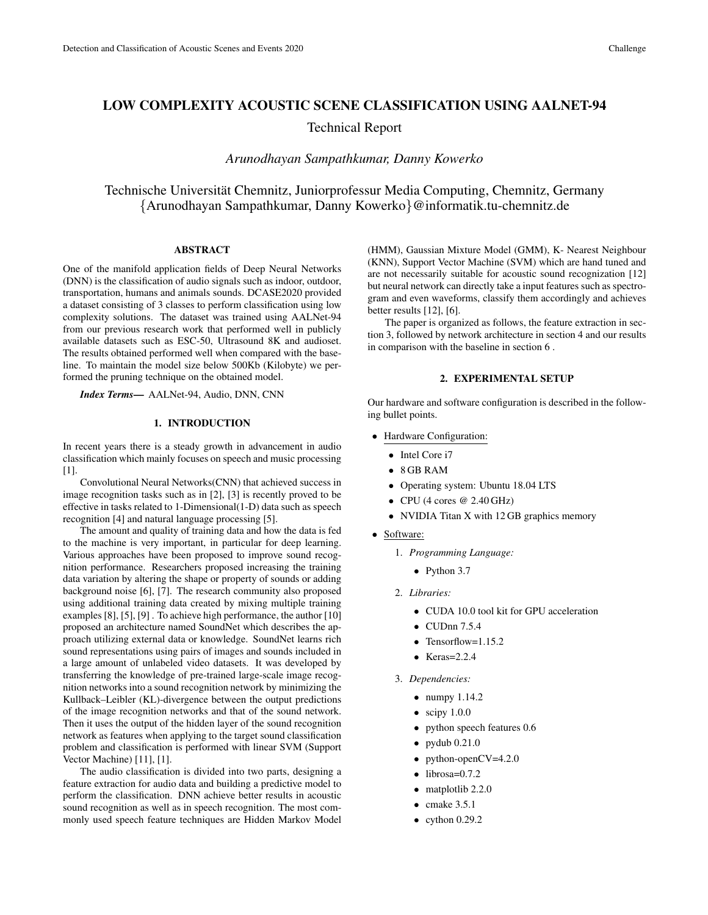# LOW COMPLEXITY ACOUSTIC SCENE CLASSIFICATION USING AALNET-94

Technical Report

*Arunodhayan Sampathkumar, Danny Kowerko*

Technische Universität Chemnitz, Juniorprofessur Media Computing, Chemnitz, Germany {Arunodhayan Sampathkumar, Danny Kowerko}@informatik.tu-chemnitz.de

## ABSTRACT

One of the manifold application fields of Deep Neural Networks (DNN) is the classification of audio signals such as indoor, outdoor, transportation, humans and animals sounds. DCASE2020 provided a dataset consisting of 3 classes to perform classification using low complexity solutions. The dataset was trained using AALNet-94 from our previous research work that performed well in publicly available datasets such as ESC-50, Ultrasound 8K and audioset. The results obtained performed well when compared with the baseline. To maintain the model size below 500Kb (Kilobyte) we performed the pruning technique on the obtained model.

*Index Terms*— AALNet-94, Audio, DNN, CNN

#### 1. INTRODUCTION

In recent years there is a steady growth in advancement in audio classification which mainly focuses on speech and music processing [1].

Convolutional Neural Networks(CNN) that achieved success in image recognition tasks such as in [2], [3] is recently proved to be effective in tasks related to 1-Dimensional(1-D) data such as speech recognition [4] and natural language processing [5].

The amount and quality of training data and how the data is fed to the machine is very important, in particular for deep learning. Various approaches have been proposed to improve sound recognition performance. Researchers proposed increasing the training data variation by altering the shape or property of sounds or adding background noise [6], [7]. The research community also proposed using additional training data created by mixing multiple training examples [8], [5], [9] . To achieve high performance, the author [10] proposed an architecture named SoundNet which describes the approach utilizing external data or knowledge. SoundNet learns rich sound representations using pairs of images and sounds included in a large amount of unlabeled video datasets. It was developed by transferring the knowledge of pre-trained large-scale image recognition networks into a sound recognition network by minimizing the Kullback–Leibler (KL)-divergence between the output predictions of the image recognition networks and that of the sound network. Then it uses the output of the hidden layer of the sound recognition network as features when applying to the target sound classification problem and classification is performed with linear SVM (Support Vector Machine) [11], [1].

The audio classification is divided into two parts, designing a feature extraction for audio data and building a predictive model to perform the classification. DNN achieve better results in acoustic sound recognition as well as in speech recognition. The most commonly used speech feature techniques are Hidden Markov Model

(HMM), Gaussian Mixture Model (GMM), K- Nearest Neighbour (KNN), Support Vector Machine (SVM) which are hand tuned and are not necessarily suitable for acoustic sound recognization [12] but neural network can directly take a input features such as spectrogram and even waveforms, classify them accordingly and achieves better results [12], [6].

The paper is organized as follows, the feature extraction in section 3, followed by network architecture in section 4 and our results in comparison with the baseline in section 6 .

## 2. EXPERIMENTAL SETUP

Our hardware and software configuration is described in the following bullet points.

- Hardware Configuration:
	- Intel Core i7
	- 8 GB RAM
	- Operating system: Ubuntu 18.04 LTS
	- CPU (4 cores  $@ 2.40 \text{ GHz}$ )
	- NVIDIA Titan X with 12 GB graphics memory
- Software:
	- 1. *Programming Language:*
		- Python 3.7
	- 2. *Libraries:*
		- CUDA 10.0 tool kit for GPU acceleration
		- CUDnn 7.5.4
		- Tensorflow=1.15.2
		- Keras= $2.2.4$
	- 3. *Dependencies:*
		- numpy 1.14.2
		- $\bullet$  scipy 1.0.0
		- python speech features 0.6
		- $\bullet$  pydub 0.21.0
		- python-open $CV=4.2.0$
		- $\bullet$  librosa=0.7.2
		- matplotlib 2.2.0
		- $\bullet$  cmake 3.5.1
		- $\bullet$  cython 0.29.2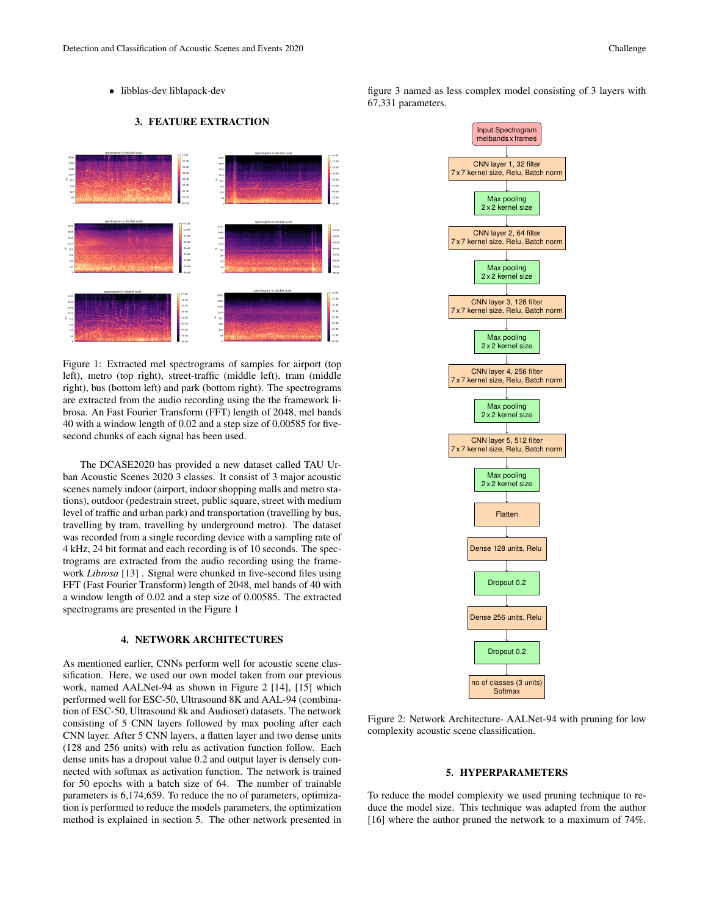## 3. FEATURE EXTRACTION



Figure 1: Extracted mel spectrograms of samples for airport (top left), metro (top right), street-traffic (middle left), tram (middle right), bus (bottom left) and park (bottom right). The spectrograms are extracted from the audio recording using the the framework librosa. An Fast Fourier Transform (FFT) length of 2048, mel bands 40 with a window length of 0.02 and a step size of 0.00585 for fivesecond chunks of each signal has been used.

The DCASE2020 has provided a new dataset called TAU Urban Acoustic Scenes 2020 3 classes. It consist of 3 major acoustic scenes namely indoor (airport, indoor shopping malls and metro stations), outdoor (pedestrain street, public square, street with medium level of traffic and urban park) and transportation (travelling by bus, travelling by tram, travelling by underground metro). The dataset was recorded from a single recording device with a sampling rate of 4 kHz, 24 bit format and each recording is of 10 seconds. The spectrograms are extracted from the audio recording using the framework *Librosa* [13] . Signal were chunked in five-second files using FFT (Fast Fourier Transform) length of 2048, mel bands of 40 with a window length of 0.02 and a step size of 0.00585. The extracted spectrograms are presented in the Figure 1

#### 4. NETWORK ARCHITECTURES

As mentioned earlier, CNNs perform well for acoustic scene classification. Here, we used our own model taken from our previous work, named AALNet-94 as shown in Figure 2 [14], [15] which performed well for ESC-50, Ultrasound 8K and AAL-94 (combination of ESC-50, Ultrasound 8k and Audioset) datasets. The network consisting of 5 CNN layers followed by max pooling after each CNN layer. After 5 CNN layers, a flatten layer and two dense units (128 and 256 units) with relu as activation function follow. Each dense units has a dropout value 0.2 and output layer is densely connected with softmax as activation function. The network is trained for 50 epochs with a batch size of 64. The number of trainable parameters is 6,174,659. To reduce the no of parameters, optimization is performed to reduce the models parameters, the optimization method is explained in section 5. The other network presented in

figure 3 named as less complex model consisting of 3 layers with 67,331 parameters.



Figure 2: Network Architecture- AALNet-94 with pruning for low complexity acoustic scene classification.

## 5. HYPERPARAMETERS

To reduce the model complexity we used pruning technique to reduce the model size. This technique was adapted from the author [16] where the author pruned the network to a maximum of 74%.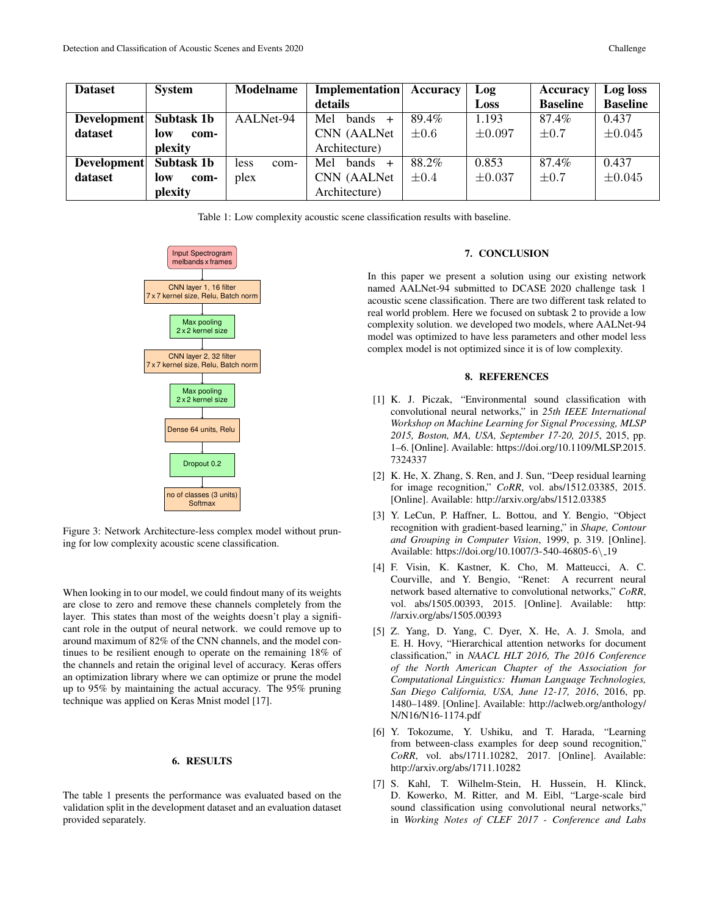| <b>Dataset</b> | <b>System</b>     | Modelname    | <b>Implementation</b> | Accuracy  | Log         | Accuracy        | Log loss        |
|----------------|-------------------|--------------|-----------------------|-----------|-------------|-----------------|-----------------|
|                |                   |              | details               |           | Loss        | <b>Baseline</b> | <b>Baseline</b> |
| Development    | Subtask 1b        | AALNet-94    | Mel<br>bands $+$      | 89.4%     | 1.193       | 87.4%           | 0.437           |
| dataset        | low<br>com-       |              | CNN (AALNet)          | $\pm 0.6$ | $\pm 0.097$ | $\pm 0.7$       | $\pm 0.045$     |
|                | plexity           |              | Architecture)         |           |             |                 |                 |
| Development    | <b>Subtask 1b</b> | less<br>com- | Mel<br>bands $+$      | 88.2%     | 0.853       | 87.4%           | 0.437           |
| dataset        | low<br>com-       | plex         | CNN (AALNet)          | $\pm 0.4$ | $\pm 0.037$ | $\pm 0.7$       | $\pm 0.045$     |
|                | plexity           |              | Architecture)         |           |             |                 |                 |

Table 1: Low complexity acoustic scene classification results with baseline.



Figure 3: Network Architecture-less complex model without pruning for low complexity acoustic scene classification.

When looking in to our model, we could findout many of its weights are close to zero and remove these channels completely from the layer. This states than most of the weights doesn't play a significant role in the output of neural network. we could remove up to around maximum of 82% of the CNN channels, and the model continues to be resilient enough to operate on the remaining 18% of the channels and retain the original level of accuracy. Keras offers an optimization library where we can optimize or prune the model up to 95% by maintaining the actual accuracy. The 95% pruning technique was applied on Keras Mnist model [17].

### 6. RESULTS

The table 1 presents the performance was evaluated based on the validation split in the development dataset and an evaluation dataset provided separately.

## 7. CONCLUSION

In this paper we present a solution using our existing network named AALNet-94 submitted to DCASE 2020 challenge task 1 acoustic scene classification. There are two different task related to real world problem. Here we focused on subtask 2 to provide a low complexity solution. we developed two models, where AALNet-94 model was optimized to have less parameters and other model less complex model is not optimized since it is of low complexity.

## 8. REFERENCES

- [1] K. J. Piczak, "Environmental sound classification with convolutional neural networks," in *25th IEEE International Workshop on Machine Learning for Signal Processing, MLSP 2015, Boston, MA, USA, September 17-20, 2015*, 2015, pp. 1–6. [Online]. Available: https://doi.org/10.1109/MLSP.2015. 7324337
- [2] K. He, X. Zhang, S. Ren, and J. Sun, "Deep residual learning for image recognition," *CoRR*, vol. abs/1512.03385, 2015. [Online]. Available: http://arxiv.org/abs/1512.03385
- [3] Y. LeCun, P. Haffner, L. Bottou, and Y. Bengio, "Object" recognition with gradient-based learning," in *Shape, Contour and Grouping in Computer Vision*, 1999, p. 319. [Online]. Available: https://doi.org/10.1007/3-540-46805-6\ 19
- [4] F. Visin, K. Kastner, K. Cho, M. Matteucci, A. C. Courville, and Y. Bengio, "Renet: A recurrent neural network based alternative to convolutional networks," *CoRR*, vol. abs/1505.00393, 2015. [Online]. Available: http: //arxiv.org/abs/1505.00393
- [5] Z. Yang, D. Yang, C. Dyer, X. He, A. J. Smola, and E. H. Hovy, "Hierarchical attention networks for document classification," in *NAACL HLT 2016, The 2016 Conference of the North American Chapter of the Association for Computational Linguistics: Human Language Technologies, San Diego California, USA, June 12-17, 2016*, 2016, pp. 1480–1489. [Online]. Available: http://aclweb.org/anthology/ N/N16/N16-1174.pdf
- [6] Y. Tokozume, Y. Ushiku, and T. Harada, "Learning from between-class examples for deep sound recognition," *CoRR*, vol. abs/1711.10282, 2017. [Online]. Available: http://arxiv.org/abs/1711.10282
- [7] S. Kahl, T. Wilhelm-Stein, H. Hussein, H. Klinck, D. Kowerko, M. Ritter, and M. Eibl, "Large-scale bird sound classification using convolutional neural networks," in *Working Notes of CLEF 2017 - Conference and Labs*